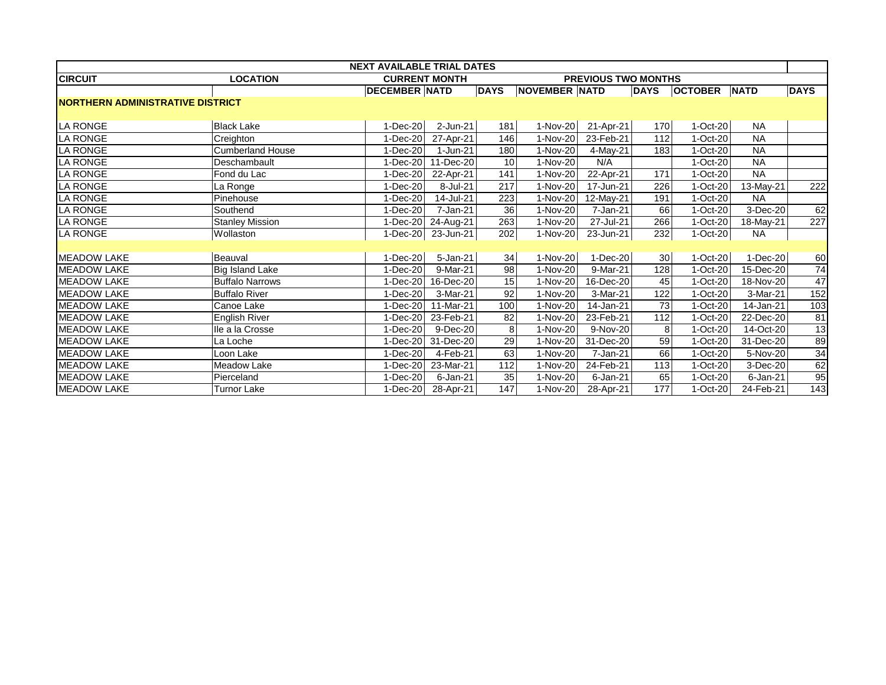| <b>NEXT AVAILABLE TRIAL DATES</b>       |                                                                       |                      |                         |                 |                      |             |             |                |             |             |
|-----------------------------------------|-----------------------------------------------------------------------|----------------------|-------------------------|-----------------|----------------------|-------------|-------------|----------------|-------------|-------------|
| <b>CIRCUIT</b>                          | <b>LOCATION</b><br><b>CURRENT MONTH</b><br><b>PREVIOUS TWO MONTHS</b> |                      |                         |                 |                      |             |             |                |             |             |
|                                         |                                                                       | <b>DECEMBER NATD</b> |                         | <b>DAYS</b>     | <b>NOVEMBER NATD</b> |             | <b>DAYS</b> | <b>OCTOBER</b> | <b>NATD</b> | <b>DAYS</b> |
| <b>NORTHERN ADMINISTRATIVE DISTRICT</b> |                                                                       |                      |                         |                 |                      |             |             |                |             |             |
|                                         |                                                                       |                      |                         |                 |                      |             |             |                |             |             |
| <b>LA RONGE</b>                         | <b>Black Lake</b>                                                     | $1-Dec-20$           | $2$ -Jun-21             | 181             | 1-Nov-20             | 21-Apr-21   | 170         | $1-Oct-20$     | <b>NA</b>   |             |
| <b>LA RONGE</b>                         | Creighton                                                             | $1-Dec-20$           | 27-Apr-21               | 146             | 1-Nov-20             | 23-Feb-21   | 112         | $1-Oct-20$     | <b>NA</b>   |             |
| <b>LA RONGE</b>                         | <b>Cumberland House</b>                                               | $1-Dec-20$           | 1-Jun-21                | 180             | 1-Nov-20             | 4-May-21    | 183         | 1-Oct-20       | <b>NA</b>   |             |
| <b>LA RONGE</b>                         | Deschambault                                                          | $1-Dec-20$           | $\overline{11}$ -Dec-20 | 10              | 1-Nov-20             | N/A         |             | 1-Oct-20       | <b>NA</b>   |             |
| <b>LA RONGE</b>                         | Fond du Lac                                                           | $1-Dec-20$           | 22-Apr-21               | 141             | 1-Nov-20             | 22-Apr-21   | 171         | 1-Oct-20       | <b>NA</b>   |             |
| <b>LA RONGE</b>                         | La Ronge                                                              | $1-Dec-20$           | 8-Jul-21                | 217             | 1-Nov-20             | 17-Jun-21   | 226         | $1-Oct-20$     | 13-May-21   | 222         |
| <b>LA RONGE</b>                         | Pinehouse                                                             | $1-Dec-20$           | 14-Jul-21               | 223             | 1-Nov-20             | 12-May-21   | 191         | 1-Oct-20       | <b>NA</b>   |             |
| <b>LA RONGE</b>                         | Southend                                                              | 1-Dec-20             | 7-Jan-21                | 36              | 1-Nov-20             | 7-Jan-21    | 66          | 1-Oct-20       | 3-Dec-20    | 62          |
| <b>LA RONGE</b>                         | <b>Stanley Mission</b>                                                | $1 - Dec-20$         | 24-Aug-21               | 263             | 1-Nov-20             | 27-Jul-21   | 266         | 1-Oct-20       | 18-May-21   | 227         |
| <b>LA RONGE</b>                         | Wollaston                                                             | $1-Dec-20$           | 23-Jun-21               | 202             | 1-Nov-20             | 23-Jun-21   | 232         | $1-Oct-20$     | <b>NA</b>   |             |
|                                         |                                                                       |                      |                         |                 |                      |             |             |                |             |             |
| <b>MEADOW LAKE</b>                      | Beauval                                                               | $1-Dec-20$           | $5 - Jan-21$            | 34              | 1-Nov-20             | $1$ -Dec-20 | 30          | 1-Oct-20       | 1-Dec-20    | 60          |
| <b>MEADOW LAKE</b>                      | <b>Big Island Lake</b>                                                | $1-Dec-20$           | 9-Mar-21                | $\overline{98}$ | 1-Nov-20             | 9-Mar-21    | 128         | 1-Oct-20       | 15-Dec-20   | 74          |
| <b>IMEADOW LAKE</b>                     | <b>Buffalo Narrows</b>                                                | 1-Dec-20             | 16-Dec-20               | 15              | 1-Nov-20             | 16-Dec-20   | 45          | $1-Cct-20$     | 18-Nov-20   | 47          |
| <b>MEADOW LAKE</b>                      | <b>Buffalo River</b>                                                  | $1-Dec-20$           | 3-Mar-21                | $\overline{92}$ | 1-Nov-20             | 3-Mar-21    | 122         | 1-Oct-20       | 3-Mar-21    | 152         |
| <b>MEADOW LAKE</b>                      | Canoe Lake                                                            | $1-Dec-20$           | 11-Mar-21               | 100             | 1-Nov-20             | 14-Jan-21   | 73          | 1-Oct-20       | 14-Jan-21   | 103         |
| <b>MEADOW LAKE</b>                      | English River                                                         | $1-Dec-20$           | 23-Feb-21               | 82              | 1-Nov-20             | 23-Feb-21   | 112         | 1-Oct-20       | 22-Dec-20   | 81          |
| <b>MEADOW LAKE</b>                      | lle a la Crosse                                                       | $1-Dec-20$           | 9-Dec-20                | 8               | 1-Nov-20             | 9-Nov-20    | 8           | 1-Oct-20       | 14-Oct-20   | 13          |
| <b>MEADOW LAKE</b>                      | La Loche                                                              | $1-Dec-20$           | 31-Dec-20               | 29              | 1-Nov-20             | 31-Dec-20   | 59          | $1-Oct-20$     | 31-Dec-20   | 89          |
| <b>MEADOW LAKE</b>                      | Loon Lake                                                             | $1-Dec-20$           | 4-Feb-21                | 63              | 1-Nov-20             | 7-Jan-21    | 66          | 1-Oct-20       | 5-Nov-20    | 34          |
| <b>MEADOW LAKE</b>                      | <b>Meadow Lake</b>                                                    | $1-Dec-20$           | 23-Mar-21               | 112             | 1-Nov-20             | 24-Feb-21   | 113         | $1-Oct-20$     | 3-Dec-20    | 62          |
| <b>MEADOW LAKE</b>                      | Pierceland                                                            | 1-Dec-20             | $6$ -Jan-21             | 35              | 1-Nov-20             | $6$ -Jan-21 | 65          | $1-Oct-20$     | $6$ -Jan-21 | 95          |
| <b>MEADOW LAKE</b>                      | <b>Turnor Lake</b>                                                    | $1-Dec-20$           | 28-Apr-21               | 147             | 1-Nov-20             | 28-Apr-21   | 177         | 1-Oct-20       | 24-Feb-21   | 143         |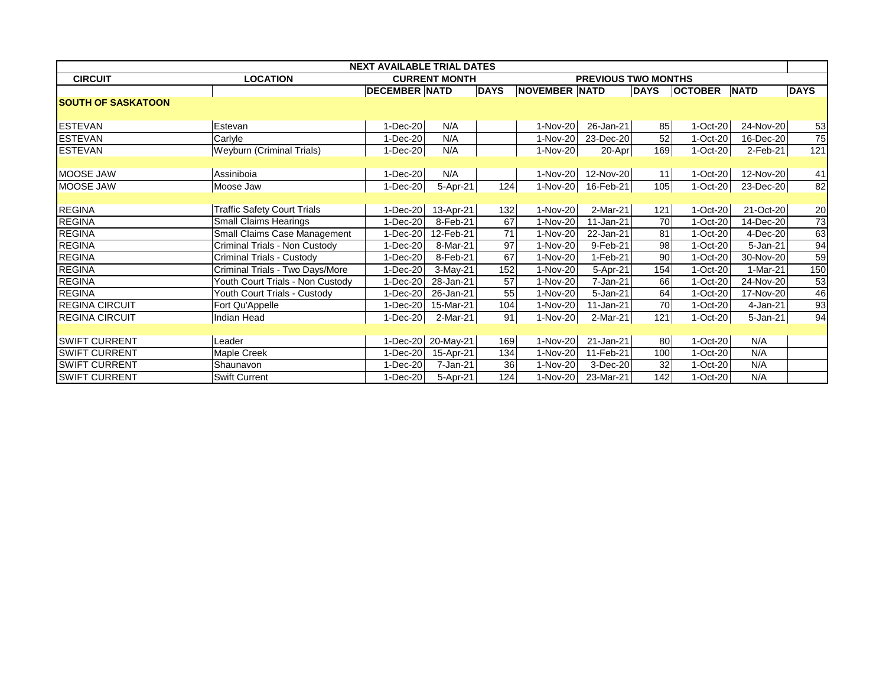| <b>NEXT AVAILABLE TRIAL DATES</b> |                                    |                      |                      |             |                            |            |             |                |              |                 |
|-----------------------------------|------------------------------------|----------------------|----------------------|-------------|----------------------------|------------|-------------|----------------|--------------|-----------------|
| <b>CIRCUIT</b>                    | <b>LOCATION</b>                    |                      | <b>CURRENT MONTH</b> |             | <b>PREVIOUS TWO MONTHS</b> |            |             |                |              |                 |
|                                   |                                    | <b>DECEMBER NATD</b> |                      | <b>DAYS</b> | <b>NOVEMBER NATD</b>       |            | <b>DAYS</b> | <b>OCTOBER</b> | <b>NATD</b>  | <b>DAYS</b>     |
| <b>SOUTH OF SASKATOON</b>         |                                    |                      |                      |             |                            |            |             |                |              |                 |
|                                   |                                    |                      |                      |             |                            |            |             |                |              |                 |
| <b>ESTEVAN</b>                    | Estevan                            | $1-Dec-20$           | N/A                  |             | 1-Nov-20                   | 26-Jan-21  | 85          | $1-Oct-20$     | 24-Nov-20    | 53              |
| <b>ESTEVAN</b>                    | Carlyle                            | $1-Dec-20$           | N/A                  |             | 1-Nov-20                   | 23-Dec-20  | 52          | 1-Oct-20       | 16-Dec-20    | 75              |
| <b>ESTEVAN</b>                    | Weyburn (Criminal Trials)          | $1-Dec-20$           | N/A                  |             | 1-Nov-20                   | 20-Apr     | 169         | 1-Oct-20       | $2$ -Feb-21  | 121             |
|                                   |                                    |                      |                      |             |                            |            |             |                |              |                 |
| MOOSE JAW                         | Assiniboia                         | $1$ -Dec-20          | N/A                  |             | 1-Nov-20                   | 12-Nov-20  | 11          | $1-Oct-20$     | 12-Nov-20    | 41              |
| MOOSE JAW                         | Moose Jaw                          | $1$ -Dec-20          | 5-Apr-21             | 124         | 1-Nov-20                   | 16-Feb-21  | 105         | $1-Oct-20$     | 23-Dec-20    | 82              |
|                                   |                                    |                      |                      |             |                            |            |             |                |              |                 |
| <b>REGINA</b>                     | <b>Traffic Safety Court Trials</b> | $1$ -Dec-20          | 13-Apr-21            | 132         | 1-Nov-20                   | 2-Mar-21   | 121         | $1-Oct-20$     | 21-Oct-20    | 20              |
| <b>REGINA</b>                     | <b>Small Claims Hearings</b>       | $1-Dec-20$           | 8-Feb-21             | 67          | 1-Nov-20                   | 11-Jan-21  | 70          | 1-Oct-20       | 14-Dec-20    | $\overline{73}$ |
| <b>REGINA</b>                     | Small Claims Case Management       | $1-Dec-20$           | 12-Feb-21            | 71          | 1-Nov-20                   | 22-Jan-21  | 81          | 1-Oct-20       | 4-Dec-20     | 63              |
| <b>REGINA</b>                     | Criminal Trials - Non Custody      | $1-Dec-20$           | 8-Mar-21             | 97          | 1-Nov-20                   | 9-Feb-21   | 98          | 1-Oct-20       | 5-Jan-21     | 94              |
| <b>REGINA</b>                     | Criminal Trials - Custody          | $1-Dec-20$           | 8-Feb-21             | 67          | 1-Nov-20                   | $1-Feb-21$ | 90          | 1-Oct-20       | 30-Nov-20    | 59              |
| <b>REGINA</b>                     | Criminal Trials - Two Days/More    | $1-Dec-20$           | 3-May-21             | 152         | 1-Nov-20                   | 5-Apr-21   | 154         | 1-Oct-20       | 1-Mar-21     | 150             |
| <b>REGINA</b>                     | Youth Court Trials - Non Custody   | 1-Dec-20             | 28-Jan-21            | 57          | 1-Nov-20                   | 7-Jan-21   | 66          | 1-Oct-20       | 24-Nov-20    | 53              |
| <b>REGINA</b>                     | Youth Court Trials - Custody       | 1-Dec-20             | 26-Jan-21            | 55          | 1-Nov-20                   | 5-Jan-21   | 64          | 1-Oct-20       | 17-Nov-20    | 46              |
| <b>REGINA CIRCUIT</b>             | Fort Qu'Appelle                    | 1-Dec-20             | 15-Mar-21            | 104         | 1-Nov-20                   | 11-Jan-21  | 70          | 1-Oct-20       | 4-Jan-21     | 93              |
| <b>REGINA CIRCUIT</b>             | Indian Head                        | $1$ -Dec-20          | 2-Mar-21             | 91          | 1-Nov-20                   | 2-Mar-21   | 121         | 1-Oct-20       | $5 - Jan-21$ | 94              |
|                                   |                                    |                      |                      |             |                            |            |             |                |              |                 |
| <b>SWIFT CURRENT</b>              | Leader                             | $1-Dec-20$           | 20-May-21            | 169         | 1-Nov-20                   | 21-Jan-21  | 80          | $1-Oct-20$     | N/A          |                 |
| <b>SWIFT CURRENT</b>              | Maple Creek                        | $1-Dec-20$           | 15-Apr-21            | 134         | 1-Nov-20                   | 11-Feb-21  | 100         | 1-Oct-20       | N/A          |                 |
| <b>SWIFT CURRENT</b>              | Shaunavon                          | 1-Dec-20             | 7-Jan-21             | 36          | 1-Nov-20                   | 3-Dec-20   | 32          | 1-Oct-20       | N/A          |                 |
| <b>SWIFT CURRENT</b>              | <b>Swift Current</b>               | $1-Dec-20$           | 5-Apr-21             | 124         | 1-Nov-20                   | 23-Mar-21  | 142         | 1-Oct-20       | N/A          |                 |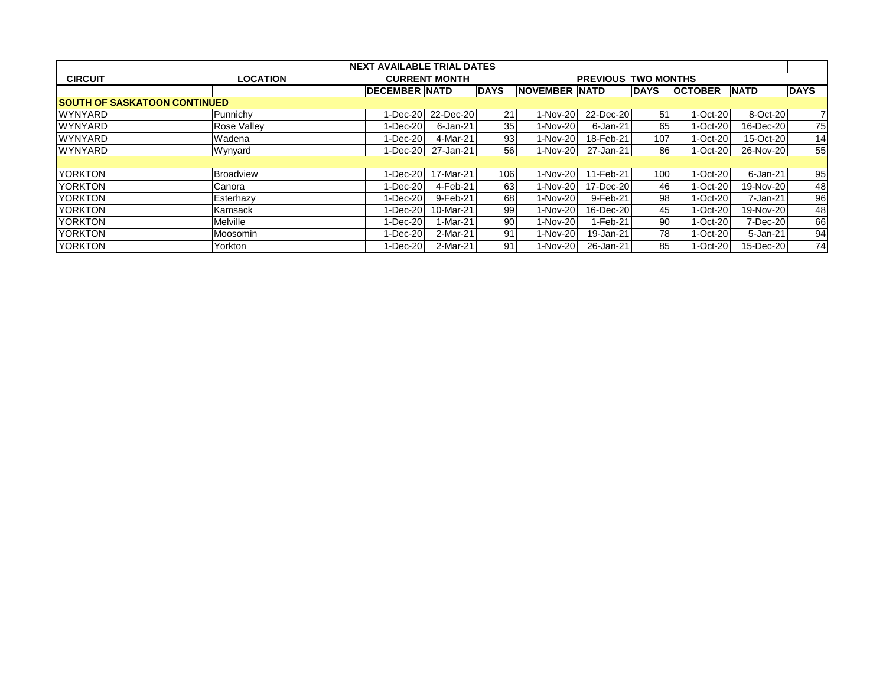| <b>NEXT AVAILABLE TRIAL DATES</b>    |                 |                      |                      |                            |                      |           |             |                |              |             |
|--------------------------------------|-----------------|----------------------|----------------------|----------------------------|----------------------|-----------|-------------|----------------|--------------|-------------|
| <b>CIRCUIT</b>                       | <b>LOCATION</b> |                      | <b>CURRENT MONTH</b> | <b>PREVIOUS TWO MONTHS</b> |                      |           |             |                |              |             |
|                                      |                 | <b>DECEMBER NATD</b> |                      | <b>DAYS</b>                | <b>NOVEMBER NATD</b> |           | <b>DAYS</b> | <b>OCTOBER</b> | <b>NATD</b>  | <b>DAYS</b> |
| <b>ISOUTH OF SASKATOON CONTINUED</b> |                 |                      |                      |                            |                      |           |             |                |              |             |
| <b>WYNYARD</b>                       | Punnichy        | $1-Dec-20$           | 22-Dec-20            | 21                         | 1-Nov-20             | 22-Dec-20 | 51          | $1-Cct-20$     | 8-Oct-20     | 71          |
| <b>WYNYARD</b>                       | Rose Vallev     | $1$ -Dec-20          | 6-Jan-21             | 35                         | 1-Nov-20             | 6-Jan-21  | 65          | $1-Oct-20$     | 16-Dec-20    | 75          |
| <b>WYNYARD</b>                       | Wadena          | $1$ -Dec-20          | 4-Mar-21             | 93                         | 1-Nov-20             | 18-Feb-21 | 107         | $1-Oct-20$     | 15-Oct-20    | 14          |
| <b>WYNYARD</b>                       | Wynyard         | $1-Dec-20$           | 27-Jan-21            | 56                         | $1-Nov-20$           | 27-Jan-21 | 86          | $1-Oct-20$     | 26-Nov-20    | 55          |
|                                      |                 |                      |                      |                            |                      |           |             |                |              |             |
| <b>YORKTON</b>                       | Broadview       | $1-Dec-20$           | 17-Mar-21            | 106                        | 1-Nov-20             | 11-Feb-21 | 100         | $1-Oct-20$     | $6$ -Jan-21  | 95          |
| <b>YORKTON</b>                       | Canora          | $1$ -Dec-20          | 4-Feb-21             | 63                         | 1-Nov-20             | 17-Dec-20 | 46          | $1-Oct-20$     | 19-Nov-20    | 48          |
| <b>YORKTON</b>                       | Esterhazy       | $1$ -Dec-20          | 9-Feb-21             | 68                         | 1-Nov-20             | 9-Feb-21  | 98          | $1-Oct-20$     | 7-Jan-21     | 96          |
| <b>YORKTON</b>                       | Kamsack         | $1-Dec-20$           | 10-Mar-21            | 99                         | 1-Nov-20             | 16-Dec-20 | 45          | $1-Oct-20$     | 19-Nov-20    | 48          |
| <b>YORKTON</b>                       | Melville        | $1 - Dec-20$         | 1-Mar-21             | 90                         | 1-Nov-20             | 1-Feb-21  | 90          | $1-Oct-20$     | 7-Dec-20     | 66          |
| <b>YORKTON</b>                       | Moosomin        | $1-Dec-20$           | 2-Mar-21             | 91                         | 1-Nov-20             | 19-Jan-21 | 78          | $1-Oct-20$     | $5 - Jan-21$ | 94          |
| <b>YORKTON</b>                       | Yorkton         | $1-Dec-20$           | 2-Mar-21             | 91                         | 1-Nov-20             | 26-Jan-21 | 85          | $1-Cct-20$     | 15-Dec-20    | 74          |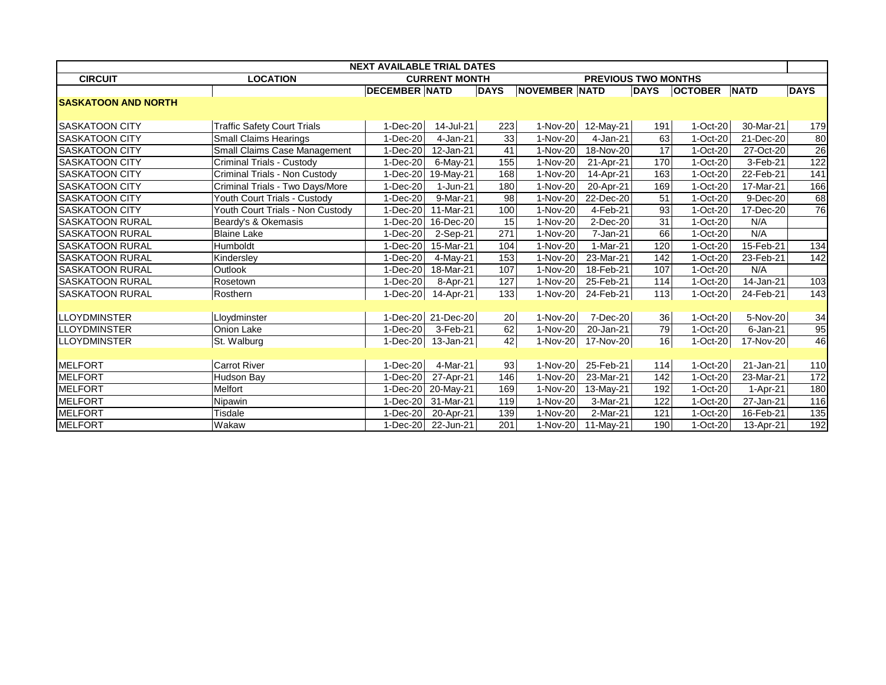| <b>NEXT AVAILABLE TRIAL DATES</b> |                                    |                                                    |           |             |                      |             |             |                     |             |                  |
|-----------------------------------|------------------------------------|----------------------------------------------------|-----------|-------------|----------------------|-------------|-------------|---------------------|-------------|------------------|
| <b>CIRCUIT</b>                    | <b>LOCATION</b>                    | <b>CURRENT MONTH</b><br><b>PREVIOUS TWO MONTHS</b> |           |             |                      |             |             |                     |             |                  |
|                                   |                                    | <b>DECEMBER NATD</b>                               |           | <b>DAYS</b> | <b>NOVEMBER NATD</b> |             | <b>DAYS</b> | <b>OCTOBER NATD</b> |             | <b>DAYS</b>      |
| <b>SASKATOON AND NORTH</b>        |                                    |                                                    |           |             |                      |             |             |                     |             |                  |
|                                   |                                    |                                                    |           |             |                      |             |             |                     |             |                  |
| <b>SASKATOON CITY</b>             | <b>Traffic Safety Court Trials</b> | 1-Dec-20                                           | 14-Jul-21 | 223         | 1-Nov-20             | 12-May-21   | 191         | $1-Oct-20$          | 30-Mar-21   | 179              |
| <b>SASKATOON CITY</b>             | <b>Small Claims Hearings</b>       | $1-Dec-20$                                         | 4-Jan-21  | 33          | 1-Nov-20             | 4-Jan-21    | 63          | 1-Oct-20            | 21-Dec-20   | 80               |
| <b>SASKATOON CITY</b>             | Small Claims Case Management       | $1-Dec-20$                                         | 12-Jan-21 | 41          | 1-Nov-20             | 18-Nov-20   | 17          | 1-Oct-20            | 27-Oct-20   | $\overline{26}$  |
| <b>SASKATOON CITY</b>             | Criminal Trials - Custody          | $1-Dec-20$                                         | 6-May-21  | 155         | 1-Nov-20             | 21-Apr-21   | 170         | 1-Oct-20            | 3-Feb-21    | $\overline{122}$ |
| SASKATOON CITY                    | Criminal Trials - Non Custody      | $1-Dec-20$                                         | 19-May-21 | 168         | 1-Nov-20             | 14-Apr-21   | 163         | 1-Oct-20            | 22-Feb-21   | 141              |
| <b>SASKATOON CITY</b>             | Criminal Trials - Two Days/More    | $1-Dec-20$                                         | 1-Jun-21  | 180         | 1-Nov-20             | 20-Apr-21   | 169         | 1-Oct-20            | 17-Mar-21   | 166              |
| <b>SASKATOON CITY</b>             | Youth Court Trials - Custody       | $1-Dec-20$                                         | 9-Mar-21  | 98          | 1-Nov-20             | 22-Dec-20   | 51          | 1-Oct-20            | $9$ -Dec-20 | 68               |
| <b>SASKATOON CITY</b>             | Youth Court Trials - Non Custody   | 1-Dec-20                                           | 11-Mar-21 | 100         | 1-Nov-20             | 4-Feb-21    | 93          | 1-Oct-20            | 17-Dec-20   | 76               |
| <b>SASKATOON RURAL</b>            | Beardy's & Okemasis                | 1-Dec-20                                           | 16-Dec-20 | 15          | 1-Nov-20             | 2-Dec-20    | 31          | 1-Oct-20            | N/A         |                  |
| <b>SASKATOON RURAL</b>            | <b>Blaine Lake</b>                 | $1-Dec-20$                                         | 2-Sep-21  | 271         | 1-Nov-20             | 7-Jan-21    | 66          | 1-Oct-20            | N/A         |                  |
| <b>SASKATOON RURAL</b>            | Humboldt                           | $1-Dec-20$                                         | 15-Mar-21 | 104         | 1-Nov-20             | 1-Mar-21    | 120         | 1-Oct-20            | 15-Feb-21   | 134              |
| <b>SASKATOON RURAL</b>            | Kindersley                         | $1-Dec-20$                                         | 4-May-21  | 153         | 1-Nov-20             | $23-Mar-21$ | 142         | 1-Oct-20            | 23-Feb-21   | 142              |
| <b>SASKATOON RURAL</b>            | <b>Outlook</b>                     | $1-Dec-20$                                         | 18-Mar-21 | 107         | 1-Nov-20             | 18-Feb-21   | 107         | 1-Oct-20            | N/A         |                  |
| <b>SASKATOON RURAL</b>            | Rosetown                           | 1-Dec-20                                           | 8-Apr-21  | 127         | 1-Nov-20             | 25-Feb-21   | 114         | 1-Oct-20            | 14-Jan-21   | 103              |
| <b>SASKATOON RURAL</b>            | Rosthern                           | 1-Dec-20                                           | 14-Apr-21 | 133         | 1-Nov-20             | 24-Feb-21   | 113         | $1-Oct-20$          | 24-Feb-21   | $\overline{143}$ |
|                                   |                                    |                                                    |           |             |                      |             |             |                     |             |                  |
| <b>LLOYDMINSTER</b>               | Lloydminster                       | $1-Dec-20$                                         | 21-Dec-20 | 20          | 1-Nov-20             | 7-Dec-20    | 36          | $1-Oct-20$          | 5-Nov-20    | 34               |
| <b>LLOYDMINSTER</b>               | Onion Lake                         | 1-Dec-20                                           | 3-Feb-21  | 62          | 1-Nov-20             | 20-Jan-21   | 79          | 1-Oct-20            | $6$ -Jan-21 | 95               |
| <b>LLOYDMINSTER</b>               | St. Walburg                        | 1-Dec-20                                           | 13-Jan-21 | 42          | 1-Nov-20             | 17-Nov-20   | 16          | 1-Oct-20            | 17-Nov-20   | 46               |
|                                   |                                    |                                                    |           |             |                      |             |             |                     |             |                  |
| <b>MELFORT</b>                    | <b>Carrot River</b>                | $1-Dec-20$                                         | 4-Mar-21  | 93          | 1-Nov-20             | 25-Feb-21   | 114         | $1-Oct-20$          | 21-Jan-21   | 110              |
| <b>MELFORT</b>                    | Hudson Bay                         | 1-Dec-20                                           | 27-Apr-21 | 146         | 1-Nov-20             | 23-Mar-21   | 142         | 1-Oct-20            | 23-Mar-21   | 172              |
| <b>MELFORT</b>                    | Melfort                            | $1-Dec-20$                                         | 20-May-21 | 169         | 1-Nov-20             | 13-May-21   | 192         | 1-Oct-20            | 1-Apr-21    | 180              |
| <b>MELFORT</b>                    | Nipawin                            | $1-Dec-20$                                         | 31-Mar-21 | 119         | 1-Nov-20             | 3-Mar-21    | 122         | 1-Oct-20            | 27-Jan-21   | 116              |
| <b>MELFORT</b>                    | Tisdale                            | 1-Dec-20                                           | 20-Apr-21 | 139         | 1-Nov-20             | 2-Mar-21    | 121         | 1-Oct-20            | 16-Feb-21   | 135              |
| <b>MELFORT</b>                    | Wakaw                              | $1-Dec-20$                                         | 22-Jun-21 | 201         | 1-Nov-20             | 11-May-21   | 190         | 1-Oct-20            | 13-Apr-21   | 192              |